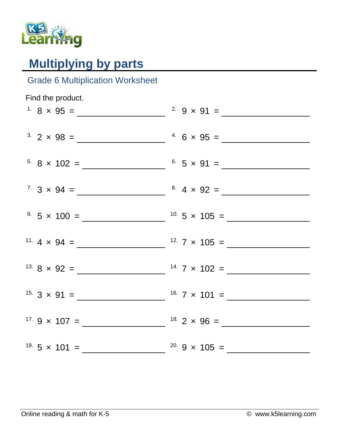

## **Multiplying by parts**

## Grade 6 Multiplication Worksheet

| Find the product. |  |
|-------------------|--|
|                   |  |
|                   |  |
|                   |  |
|                   |  |
|                   |  |
|                   |  |
|                   |  |
|                   |  |
|                   |  |
|                   |  |